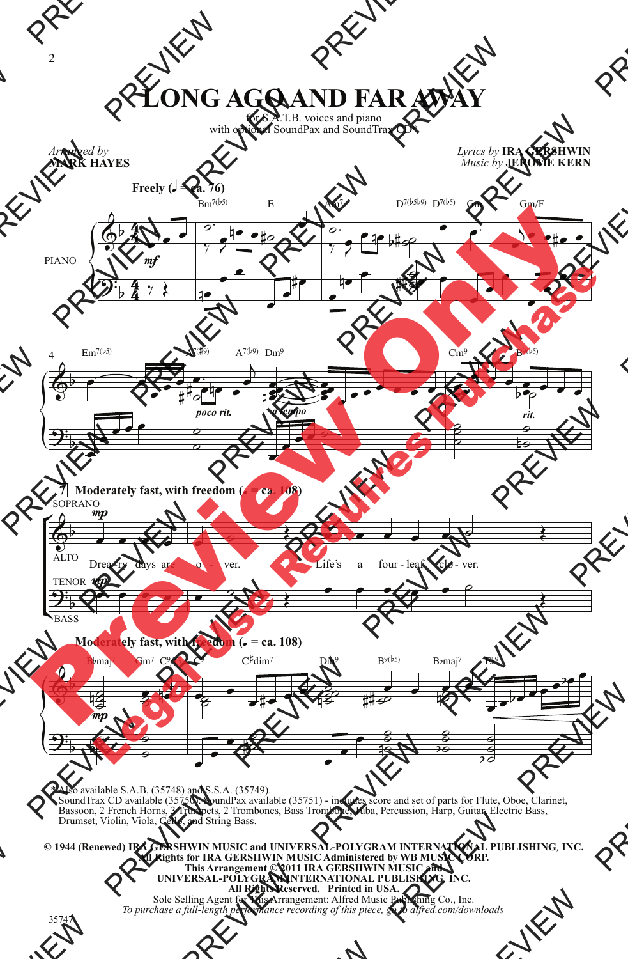## **LONG AGO AND FAR AWAY**

for S.A.T.B. voices and piano with optional SoundPax and SoundTrax CD\*

> *Lyrics by* **IRA GERSHWIN** *Music by* **JEROME KERN**



\* Also available S.A.B. (35748) and S.S.A. (35749). SoundTrax CD available (35750). SoundPax available (35751) - includes score and set of parts for Flute, Oboe, Clarinet, Bassoon, 2 French Horns, 3 Trumpets, 2 Trombones, Bass Trombone, Tuba, Percussion, Harp, Guitar, Electric Bass, Drumset, Violin, Viola, Cello, and String Bass.

**© 1944 (Renewed) IRA GERSHWIN MUSIC and UNIVERSAL-POLYGRAM INTERNATIONAL PUBLISHING***,* **INC. All Rights for IRA GERSHWIN MUSIC Administered by WB MUSIC CORP. This Arrangement © 2011 IRA GERSHWIN MUSIC and UNIVERSAL-POLYGRAM INTERNATIONAL PUBLISHING***,* **INC. All Rights Reserved. Printed in USA.** Sole Selling Agent for This Arrangement: Alfred Music Publishing Co., Inc. *To purchase a full-length performance recording of this piece, go to alfred.com/downloads*

*Arranged by* **MARK HAYES**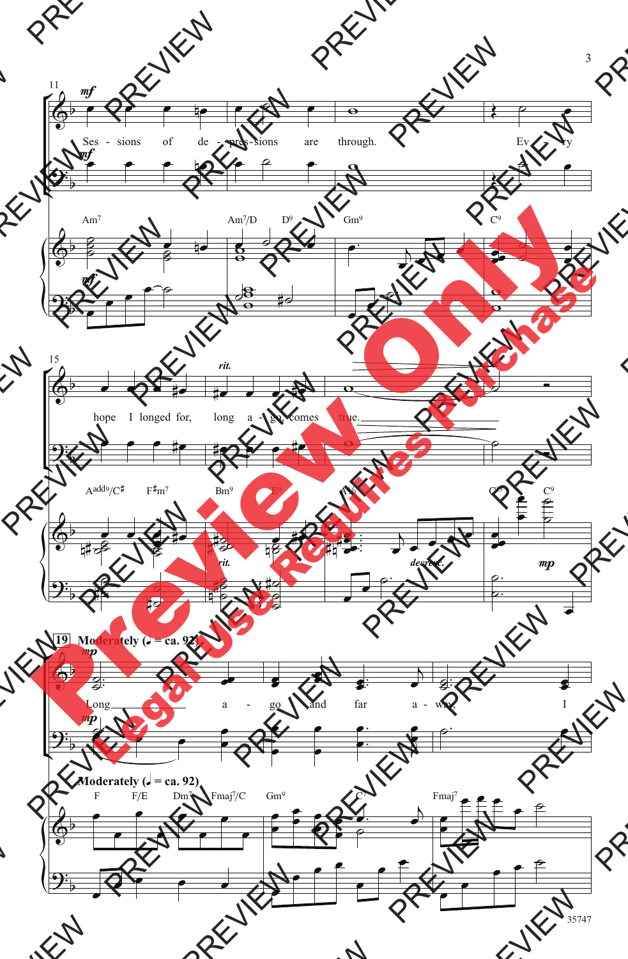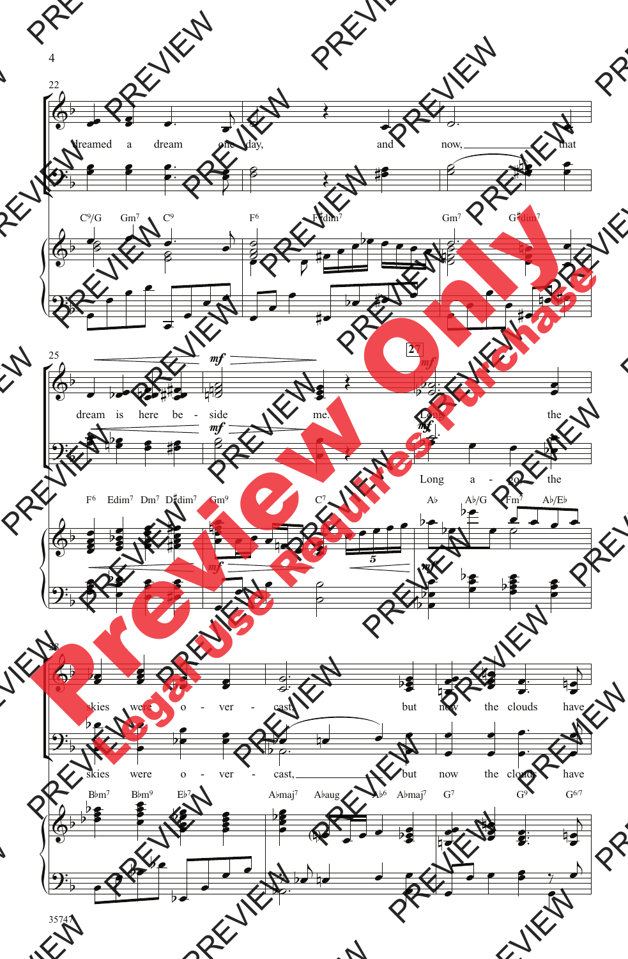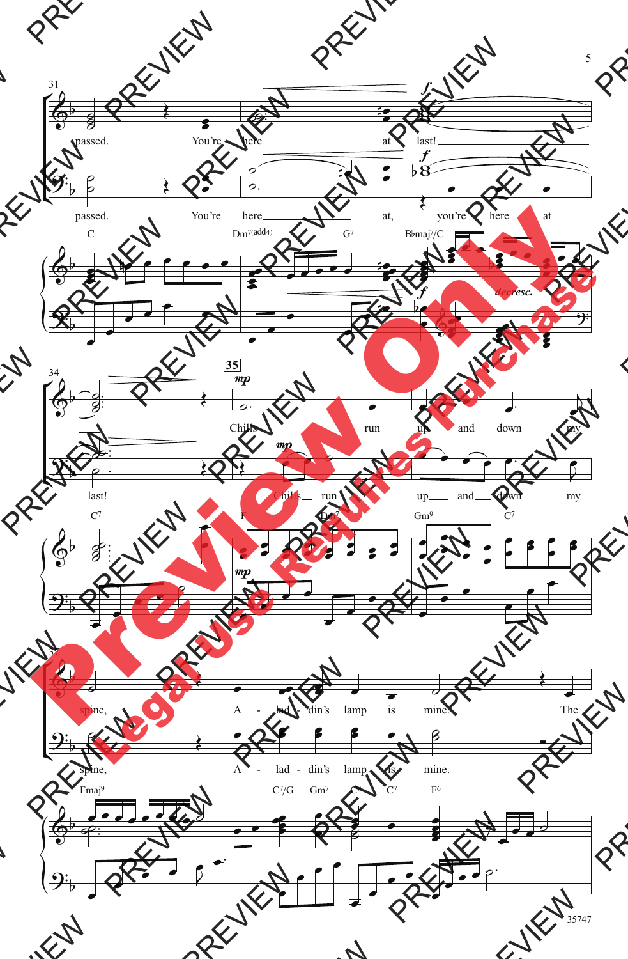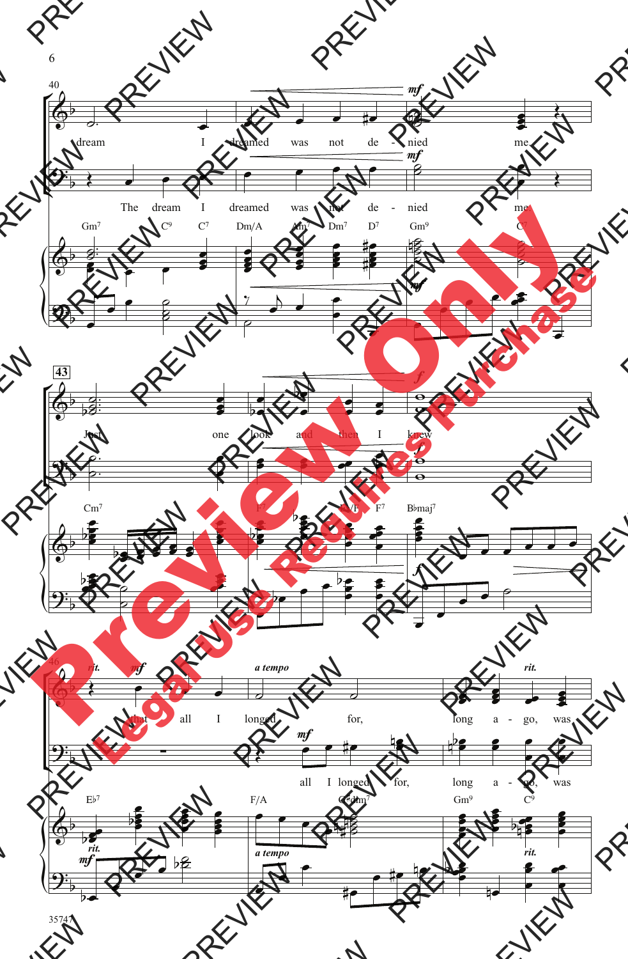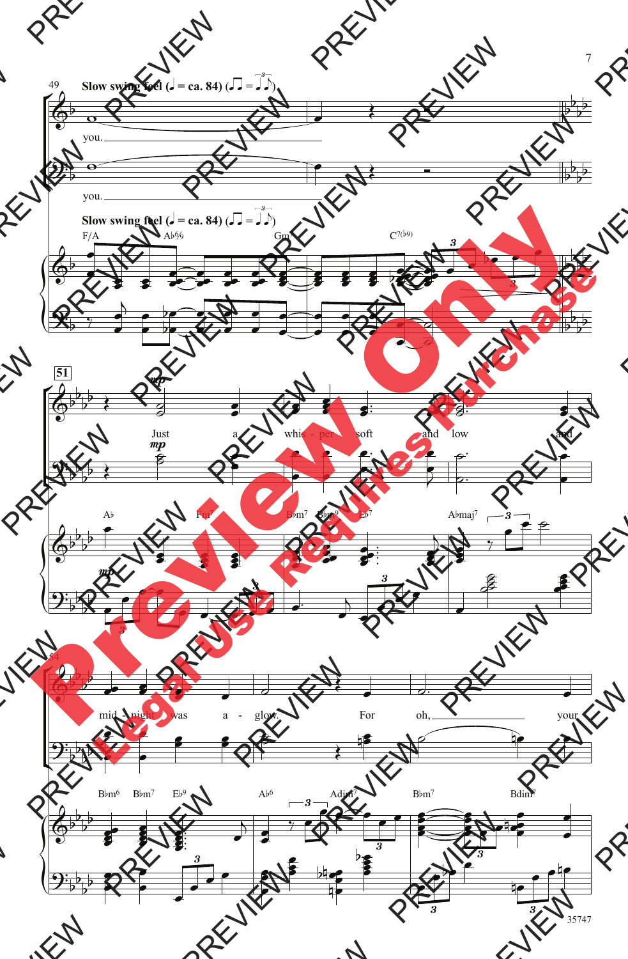

<sup>7</sup>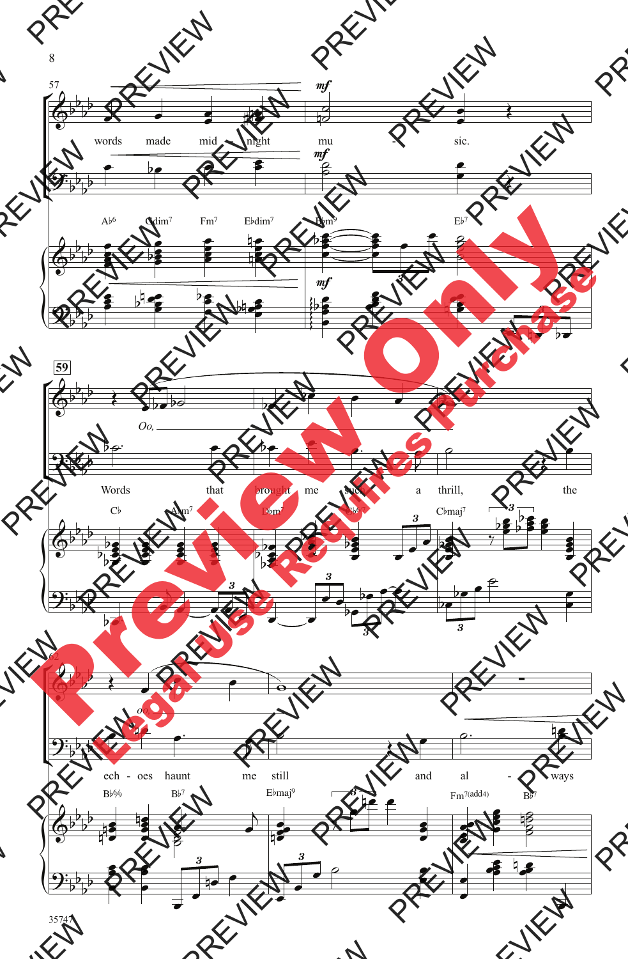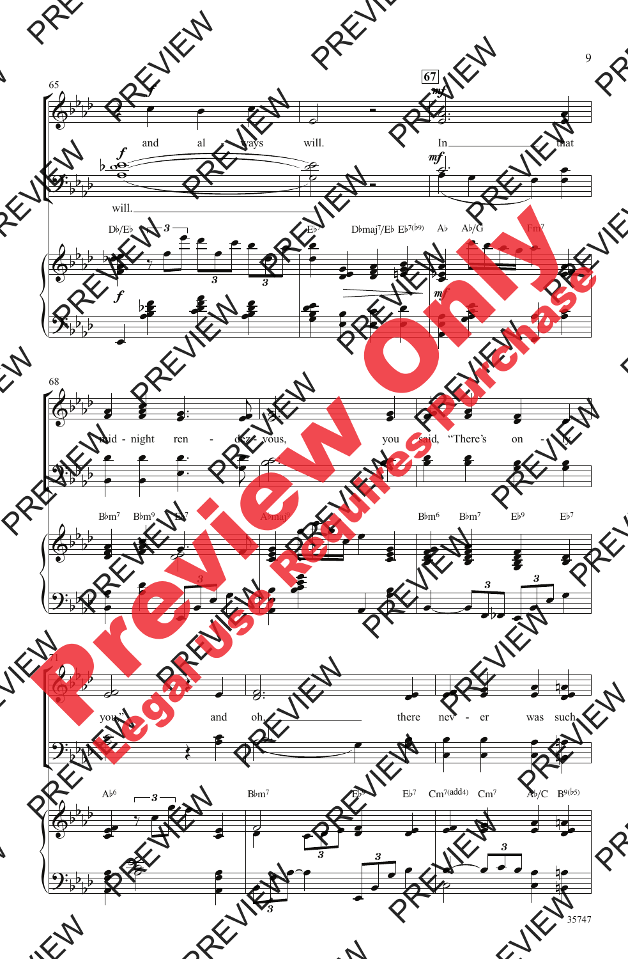

<sup>9</sup>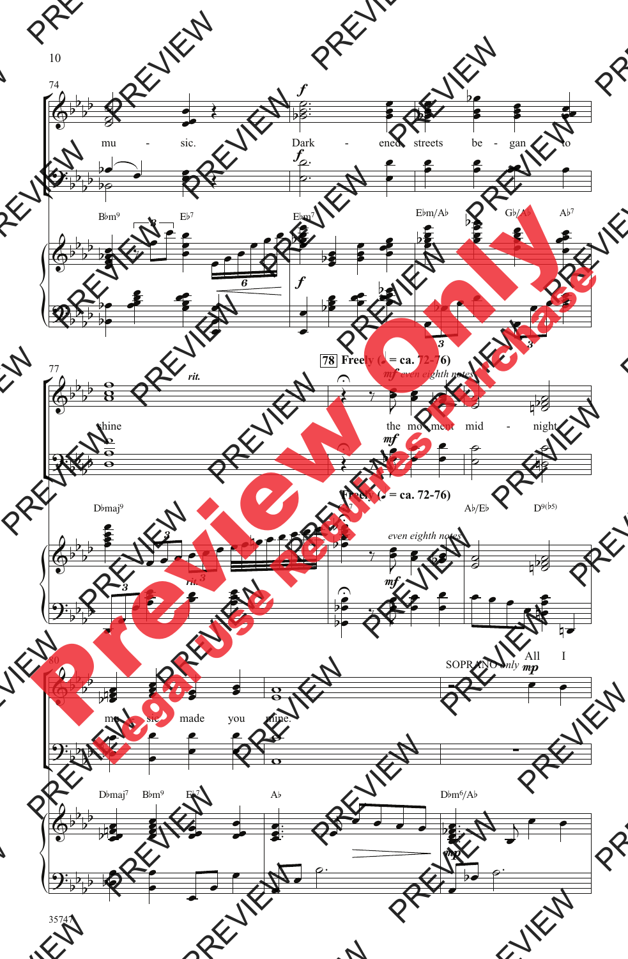